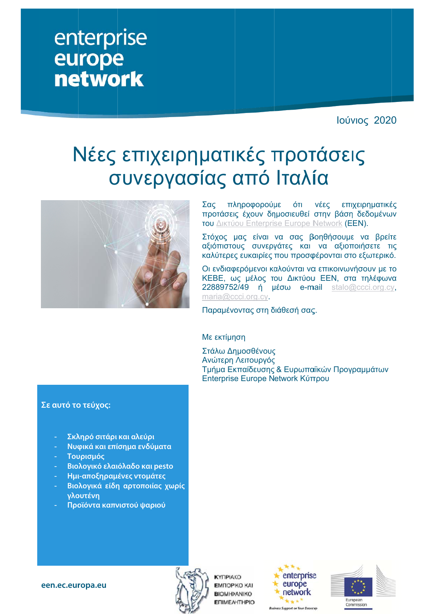## enterprise europe **network**

Ιούνιος 2020

# Νέες επιχειρηματικές προτάσεις σ συνερ ργασ σίας α από Ιταλί ία



Σας πλ ληροφορούμ με ότι προτάσεις έχουν δημοσιευθεί στην βάση δεδομένων του Δικτύου Enterprise Europe Network (EEN). νέες χειρηματικέ ές

Στόχος μας είναι να σας βοηθήσουμε να βρείτε αξιόπιστους συνεργάτες και να αξιοποιήσετε τις καλύτερες ευκαιρίες που προσφέρονται στο εξωτερικό.

Οι ενδιαφερόμενοι καλούνται να επικοινωνήσουν με το KEBE, ως μέλος του Δικτύου ΕΕΝ, στα τηλέφωνα 22889752/49 ή μέσω e-mail stalo@ccci.org.cy, maria@ccci.org.cy.

Παραμένοντας στη διάθεσή σας.

#### Με εκτίμη ηση

Στάλω ∆η ημοσθένους ς Ανώτερη Λειτουργός ς Τμήμα Εκ κπαίδευσης & Ευρωπα αϊκών Προγ ραμμάτων Enterprise Europe Network Κύπρου

#### **Σε αυτό το ο τεύχος:**

- **- Σκλ ληρό σιτάρι και αλεύρι**
- **- Νυφ φικά και επί ίσημα ενδύμ ματα**
- **- Του υρισμός**
- **- Βιο λογικό ελαι ιόλαδο και p pesto**
- **- Ημι ι-αποξηραμ ένες ντομάτ τες**
- **- Βιο λογικά είδη η αρτοποιία ας χωρίς γλο ουτένη**
- **- Προ οϊόντα καπν νιστού ψαρι ού**





**KYFIPIAKO EMПOPIKO KAI BIOMHXANIKO ENIMEAHTHPIO** 



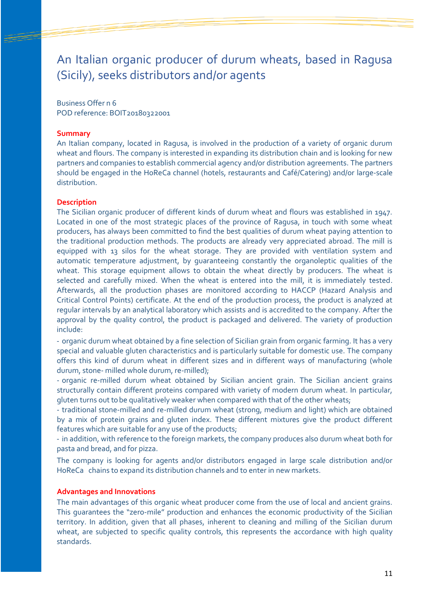## An Italian organic producer of durum wheats, based in Ragusa (Sicily), seeks distributors and/or agents

Business Offer n 6 POD reference: BOIT20180322001

#### **Summary**

An Italian company, located in Ragusa, is involved in the production of a variety of organic durum wheat and flours. The company is interested in expanding its distribution chain and is looking for new partners and companies to establish commercial agency and/or distribution agreements. The partners should be engaged in the HoReCa channel (hotels, restaurants and Café/Catering) and/or large-scale distribution.

#### **Description**

The Sicilian organic producer of different kinds of durum wheat and flours was established in 1947. Located in one of the most strategic places of the province of Ragusa, in touch with some wheat producers, has always been committed to find the best qualities of durum wheat paying attention to the traditional production methods. The products are already very appreciated abroad. The mill is equipped with 13 silos for the wheat storage. They are provided with ventilation system and automatic temperature adjustment, by guaranteeing constantly the organoleptic qualities of the wheat. This storage equipment allows to obtain the wheat directly by producers. The wheat is selected and carefully mixed. When the wheat is entered into the mill, it is immediately tested. Afterwards, all the production phases are monitored according to HACCP (Hazard Analysis and Critical Control Points) certificate. At the end of the production process, the product is analyzed at regular intervals by an analytical laboratory which assists and is accredited to the company. After the approval by the quality control, the product is packaged and delivered. The variety of production include:

- organic durum wheat obtained by a fine selection of Sicilian grain from organic farming. It has a very special and valuable gluten characteristics and is particularly suitable for domestic use. The company offers this kind of durum wheat in different sizes and in different ways of manufacturing (whole durum, stone- milled whole durum, re-milled);

- organic re-milled durum wheat obtained by Sicilian ancient grain. The Sicilian ancient grains structurally contain different proteins compared with variety of modern durum wheat. In particular, gluten turns out to be qualitatively weaker when compared with that of the other wheats;

- traditional stone-milled and re-milled durum wheat (strong, medium and light) which are obtained by a mix of protein grains and gluten index. These different mixtures give the product different features which are suitable for any use of the products;

- in addition, with reference to the foreign markets, the company produces also durum wheat both for pasta and bread, and for pizza.

The company is looking for agents and/or distributors engaged in large scale distribution and/or HoReCa chains to expand its distribution channels and to enter in new markets.

#### **Advantages and Innovations**

The main advantages of this organic wheat producer come from the use of local and ancient grains. This guarantees the "zero-mile" production and enhances the economic productivity of the Sicilian territory. In addition, given that all phases, inherent to cleaning and milling of the Sicilian durum wheat, are subjected to specific quality controls, this represents the accordance with high quality standards.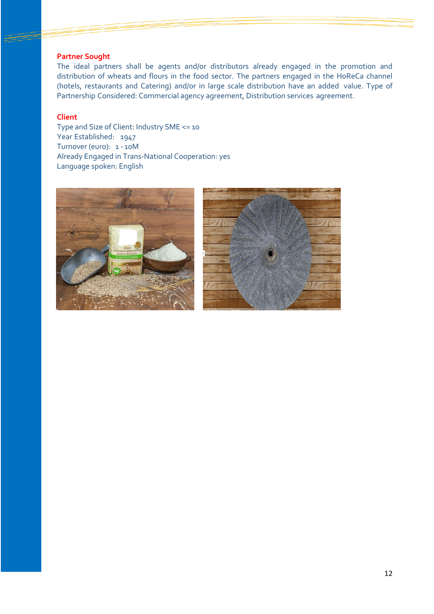#### **Partner Sought**

The ideal partners shall be agents and/or distributors already engaged in the promotion and distribution of wheats and flours in the food sector. The partners engaged in the HoReCa channel (hotels, restaurants and Catering) and/or in large scale distribution have an added value. Type of Partnership Considered: Commercial agency agreement, Distribution services agreement.

#### **Client**

Type and Size of Client: Industry SME <= 10 Year Established: 1947 Turnover (euro): 1 - 10M Already Engaged in Trans-National Cooperation: yes Language spoken: English



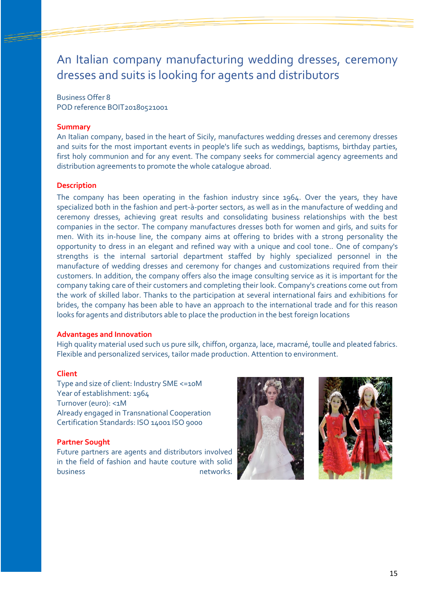## An Italian company manufacturing wedding dresses, ceremony dresses and suits is looking for agents and distributors

Business Offer 8

POD reference BOIT20180521001

#### **Summary**

An Italian company, based in the heart of Sicily, manufactures wedding dresses and ceremony dresses and suits for the most important events in people's life such as weddings, baptisms, birthday parties, first holy communion and for any event. The company seeks for commercial agency agreements and distribution agreements to promote the whole catalogue abroad.

#### **Description**

The company has been operating in the fashion industry since 1964. Over the years, they have specialized both in the fashion and pert-à-porter sectors, as well as in the manufacture of wedding and ceremony dresses, achieving great results and consolidating business relationships with the best companies in the sector. The company manufactures dresses both for women and girls, and suits for men. With its in-house line, the company aims at offering to brides with a strong personality the opportunity to dress in an elegant and refined way with a unique and cool tone.. One of company's strengths is the internal sartorial department staffed by highly specialized personnel in the manufacture of wedding dresses and ceremony for changes and customizations required from their customers. In addition, the company offers also the image consulting service as it is important for the company taking care of their customers and completing their look. Company's creations come out from the work of skilled labor. Thanks to the participation at several international fairs and exhibitions for brides, the company has been able to have an approach to the international trade and for this reason looks for agents and distributors able to place the production in the best foreign locations

#### **Advantages and Innovation**

High quality material used such us pure silk, chiffon, organza, lace, macramé, toulle and pleated fabrics. Flexible and personalized services, tailor made production. Attention to environment.

#### **Client**

Type and size of client: Industry SME <=10M Year of establishment: 1964 Turnover (euro): <1M Already engaged in Transnational Cooperation Certification Standards: ISO 14001 ISO 9000

#### **Partner Sought**

Future partners are agents and distributors involved in the field of fashion and haute couture with solid business hetworks.



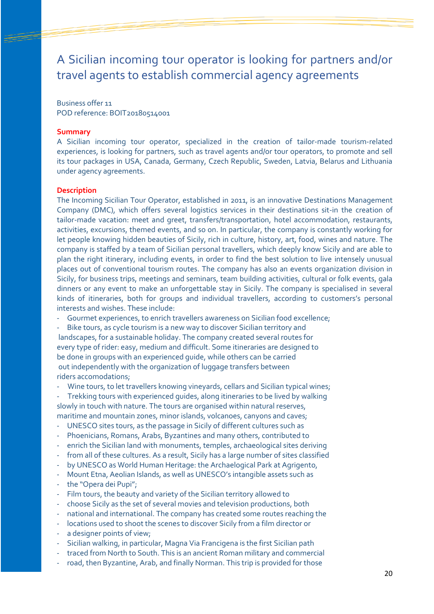A Sicilian incoming tour operator is looking for partners and/or travel agents to establish commercial agency agreements

Business offer 11 POD reference: BOIT20180514001

#### **Summary**

A Sicilian incoming tour operator, specialized in the creation of tailor-made tourism-related experiences, is looking for partners, such as travel agents and/or tour operators, to promote and sell its tour packages in USA, Canada, Germany, Czech Republic, Sweden, Latvia, Belarus and Lithuania under agency agreements.

#### **Description**

The Incoming Sicilian Tour Operator, established in 2011, is an innovative Destinations Management Company (DMC), which offers several logistics services in their destinations sit-in the creation of tailor-made vacation: meet and greet, transfers/transportation, hotel accommodation, restaurants, activities, excursions, themed events, and so on. In particular, the company is constantly working for let people knowing hidden beauties of Sicily, rich in culture, history, art, food, wines and nature. The company is staffed by a team of Sicilian personal travellers, which deeply know Sicily and are able to plan the right itinerary, including events, in order to find the best solution to live intensely unusual places out of conventional tourism routes. The company has also an events organization division in Sicily, for business trips, meetings and seminars, team building activities, cultural or folk events, gala dinners or any event to make an unforgettable stay in Sicily. The company is specialised in several kinds of itineraries, both for groups and individual travellers, according to customers's personal interests and wishes. These include:

Gourmet experiences, to enrich travellers awareness on Sicilian food excellence;

Bike tours, as cycle tourism is a new way to discover Sicilian territory and landscapes, for a sustainable holiday. The company created several routes for every type of rider: easy, medium and difficult. Some itineraries are designed to be done in groups with an experienced guide, while others can be carried out independently with the organization of luggage transfers between riders accomodations;

Wine tours, to let travellers knowing vineyards, cellars and Sicilian typical wines;

Trekking tours with experienced guides, along itineraries to be lived by walking slowly in touch with nature. The tours are organised within natural reserves, maritime and mountain zones, minor islands, volcanoes, canyons and caves;

- UNESCO sites tours, as the passage in Sicily of different cultures such as
- Phoenicians, Romans, Arabs, Byzantines and many others, contributed to
- enrich the Sicilian land with monuments, temples, archaeological sites deriving
- from all of these cultures. As a result, Sicily has a large number of sites classified
- by UNESCO as World Human Heritage: the Archaelogical Park at Agrigento,
- Mount Etna, Aeolian Islands, as well as UNESCO's intangible assets such as
- the "Opera dei Pupi";
- Film tours, the beauty and variety of the Sicilian territory allowed to
- choose Sicily as the set of several movies and television productions, both
- national and international. The company has created some routes reaching the
- locations used to shoot the scenes to discover Sicily from a film director or
- a designer points of view;
- Sicilian walking, in particular, Magna Via Francigena is the first Sicilian path
- traced from North to South. This is an ancient Roman military and commercial
- road, then Byzantine, Arab, and finally Norman. This trip is provided for those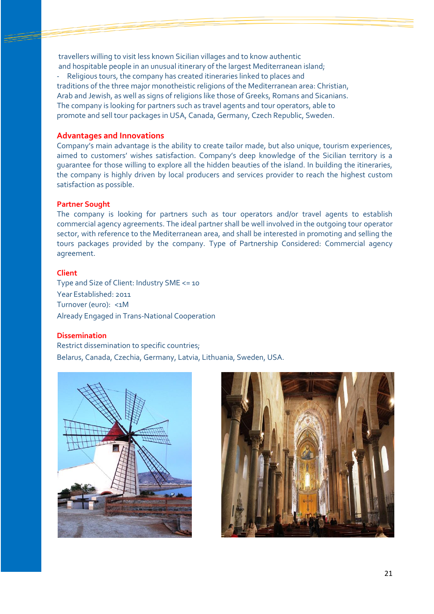travellers willing to visit less known Sicilian villages and to know authentic and hospitable people in an unusual itinerary of the largest Mediterranean island; Religious tours, the company has created itineraries linked to places and traditions of the three major monotheistic religions of the Mediterranean area: Christian, Arab and Jewish, as well as signs of religions like those of Greeks, Romans and Sicanians. The company is looking for partners such as travel agents and tour operators, able to promote and sell tour packages in USA, Canada, Germany, Czech Republic, Sweden.

#### **Advantages and Innovations**

Company's main advantage is the ability to create tailor made, but also unique, tourism experiences, aimed to customers' wishes satisfaction. Company's deep knowledge of the Sicilian territory is a guarantee for those willing to explore all the hidden beauties of the island. In building the itineraries, the company is highly driven by local producers and services provider to reach the highest custom satisfaction as possible.

#### **Partner Sought**

The company is looking for partners such as tour operators and/or travel agents to establish commercial agency agreements. The ideal partner shall be well involved in the outgoing tour operator sector, with reference to the Mediterranean area, and shall be interested in promoting and selling the tours packages provided by the company. Type of Partnership Considered: Commercial agency agreement.

#### **Client**

Type and Size of Client: Industry SME <= 10 Year Established: 2011 Turnover (euro): <1M Already Engaged in Trans-National Cooperation

#### **Dissemination**

Restrict dissemination to specific countries; Belarus, Canada, Czechia, Germany, Latvia, Lithuania, Sweden, USA.



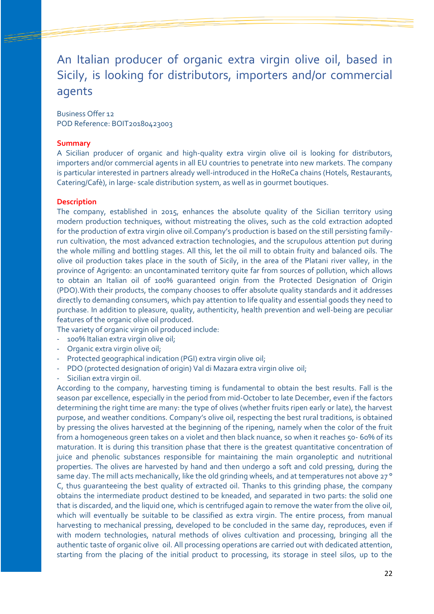## An Italian producer of organic extra virgin olive oil, based in Sicily, is looking for distributors, importers and/or commercial agents

Business Offer 12 POD Reference: BOIT20180423003

#### **Summary**

A Sicilian producer of organic and high-quality extra virgin olive oil is looking for distributors, importers and/or commercial agents in all EU countries to penetrate into new markets. The company is particular interested in partners already well-introduced in the HoReCa chains (Hotels, Restaurants, Catering/Cafè), in large- scale distribution system, as well as in gourmet boutiques.

#### **Description**

The company, established in 2015, enhances the absolute quality of the Sicilian territory using modern production techniques, without mistreating the olives, such as the cold extraction adopted for the production of extra virgin olive oil.Company's production is based on the still persisting familyrun cultivation, the most advanced extraction technologies, and the scrupulous attention put during the whole milling and bottling stages. All this, let the oil mill to obtain fruity and balanced oils. The olive oil production takes place in the south of Sicily, in the area of the Platani river valley, in the province of Agrigento: an uncontaminated territory quite far from sources of pollution, which allows to obtain an Italian oil of 100% guaranteed origin from the Protected Designation of Origin (PDO).With their products, the company chooses to offer absolute quality standards and it addresses directly to demanding consumers, which pay attention to life quality and essential goods they need to purchase. In addition to pleasure, quality, authenticity, health prevention and well-being are peculiar features of the organic olive oil produced.

The variety of organic virgin oil produced include:

- 100% Italian extra virgin olive oil;
- Organic extra virgin olive oil;
- Protected geographical indication (PGI) extra virgin olive oil;
- PDO (protected designation of origin) Val di Mazara extra virgin olive oil;
- Sicilian extra virgin oil.

According to the company, harvesting timing is fundamental to obtain the best results. Fall is the season par excellence, especially in the period from mid-October to late December, even if the factors determining the right time are many: the type of olives (whether fruits ripen early or late), the harvest purpose, and weather conditions. Company's olive oil, respecting the best rural traditions, is obtained by pressing the olives harvested at the beginning of the ripening, namely when the color of the fruit from a homogeneous green takes on a violet and then black nuance, so when it reaches 50- 60% of its maturation. It is during this transition phase that there is the greatest quantitative concentration of juice and phenolic substances responsible for maintaining the main organoleptic and nutritional properties. The olives are harvested by hand and then undergo a soft and cold pressing, during the same day. The mill acts mechanically, like the old grinding wheels, and at temperatures not above 27° C, thus guaranteeing the best quality of extracted oil. Thanks to this grinding phase, the company obtains the intermediate product destined to be kneaded, and separated in two parts: the solid one that is discarded, and the liquid one, which is centrifuged again to remove the water from the olive oil, which will eventually be suitable to be classified as extra virgin. The entire process, from manual harvesting to mechanical pressing, developed to be concluded in the same day, reproduces, even if with modern technologies, natural methods of olives cultivation and processing, bringing all the authentic taste of organic olive oil. All processing operations are carried out with dedicated attention, starting from the placing of the initial product to processing, its storage in steel silos, up to the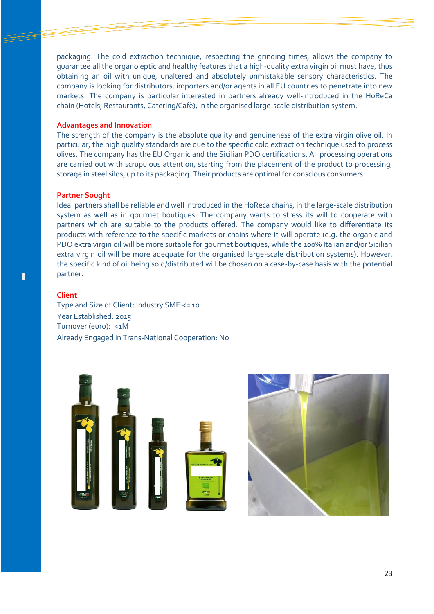packaging. The cold extraction technique, respecting the grinding times, allows the company to guarantee all the organoleptic and healthy features that a high-quality extra virgin oil must have, thus obtaining an oil with unique, unaltered and absolutely unmistakable sensory characteristics. The company is looking for distributors, importers and/or agents in all EU countries to penetrate into new markets. The company is particular interested in partners already well-introduced in the HoReCa chain (Hotels, Restaurants, Catering/Cafè), in the organised large-scale distribution system.

#### **Advantages and Innovation**

The strength of the company is the absolute quality and genuineness of the extra virgin olive oil. In particular, the high quality standards are due to the specific cold extraction technique used to process olives. The company has the EU Organic and the Sicilian PDO certifications. All processing operations are carried out with scrupulous attention, starting from the placement of the product to processing, storage in steel silos, up to its packaging. Their products are optimal for conscious consumers.

#### **Partner Sought**

Ideal partners shall be reliable and well introduced in the HoReca chains, in the large-scale distribution system as well as in gourmet boutiques. The company wants to stress its will to cooperate with partners which are suitable to the products offered. The company would like to differentiate its products with reference to the specific markets or chains where it will operate (e.g. the organic and PDO extra virgin oil will be more suitable for gourmet boutiques, while the 100% Italian and/or Sicilian extra virgin oil will be more adequate for the organised large-scale distribution systems). However, the specific kind of oil being sold/distributed will be chosen on a case-by-case basis with the potential partner.

#### **Client**

Type and Size of Client; Industry SME <= 10 Year Established: 2015 Turnover (euro): <1M Already Engaged in Trans-National Cooperation: No



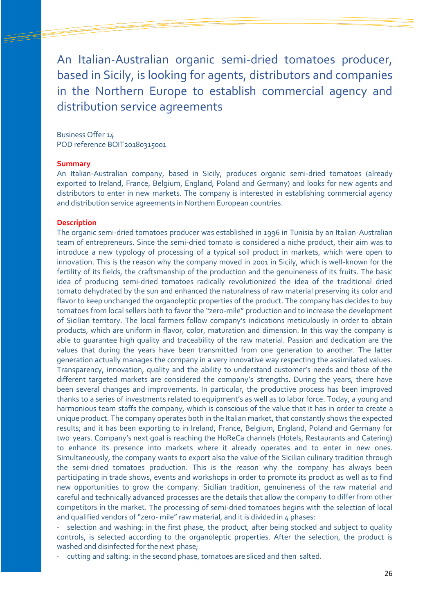An Italian-Australian organic semi-dried tomatoes producer, based in Sicily, is looking for agents, distributors and companies in the Northern Europe to establish commercial agency and distribution service agreements

Business Offer 14 POD reference BOIT20180315001

#### **Summary**

An Italian-Australian company, based in Sicily, produces organic semi-dried tomatoes (already exported to Ireland, France, Belgium, England, Poland and Germany) and looks for new agents and distributors to enter in new markets. The company is interested in establishing commercial agency and distribution service agreements in Northern European countries.

#### **Description**

The organic semi-dried tomatoes producer was established in 1996 in Tunisia by an Italian-Australian team of entrepreneurs. Since the semi-dried tomato is considered a niche product, their aim was to introduce a new typology of processing of a typical soil product in markets, which were open to innovation. This is the reason why the company moved in 2001 in Sicily, which is well-known for the fertility of its fields, the craftsmanship of the production and the genuineness of its fruits. The basic idea of producing semi-dried tomatoes radically revolutionized the idea of the traditional dried tomato dehydrated by the sun and enhanced the naturalness of raw material preserving its color and flavor to keep unchanged the organoleptic properties of the product. The company has decides to buy tomatoes from local sellers both to favor the "zero-mile" production and to increase the development of Sicilian territory. The local farmers follow company's indications meticulously in order to obtain products, which are uniform in flavor, color, maturation and dimension. In this way the company is able to guarantee high quality and traceability of the raw material. Passion and dedication are the values that during the years have been transmitted from one generation to another. The latter generation actually manages the company in a very innovative way respecting the assimilated values. Transparency, innovation, quality and the ability to understand customer's needs and those of the different targeted markets are considered the company's strengths. During the years, there have been several changes and improvements. In particular, the productive process has been improved thanks to a series of investments related to equipment's as well as to labor force. Today, a young and harmonious team staffs the company, which is conscious of the value that it has in order to create a unique product. The company operates both in the Italian market, that constantly shows the expected results; and it has been exporting to in Ireland, France, Belgium, England, Poland and Germany for two years. Company's next goal is reaching the HoReCa channels (Hotels, Restaurants and Catering) to enhance its presence into markets where it already operates and to enter in new ones. Simultaneously, the company wants to export also the value of the Sicilian culinary tradition through the semi-dried tomatoes production. This is the reason why the company has always been participating in trade shows, events and workshops in order to promote its product as well as to find new opportunities to grow the company. Sicilian tradition, genuineness of the raw material and careful and technically advanced processes are the details that allow the company to differ from other competitors in the market. The processing of semi-dried tomatoes begins with the selection of local and qualified vendors of "zero- mile" raw material, and it is divided in 4 phases:

selection and washing: in the first phase, the product, after being stocked and subject to quality controls, is selected according to the organoleptic properties. After the selection, the product is washed and disinfected for the next phase;

cutting and salting: in the second phase, tomatoes are sliced and then salted.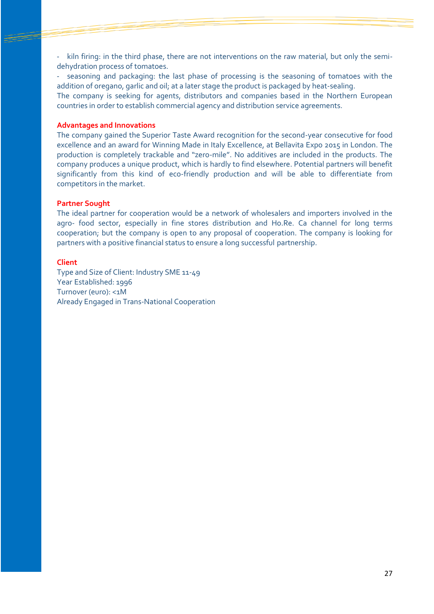kiln firing: in the third phase, there are not interventions on the raw material, but only the semidehydration process of tomatoes.

seasoning and packaging: the last phase of processing is the seasoning of tomatoes with the addition of oregano, garlic and oil; at a later stage the product is packaged by heat-sealing.

The company is seeking for agents, distributors and companies based in the Northern European countries in order to establish commercial agency and distribution service agreements.

#### **Advantages and Innovations**

The company gained the Superior Taste Award recognition for the second-year consecutive for food excellence and an award for Winning Made in Italy Excellence, at Bellavita Expo 2015 in London. The production is completely trackable and "zero-mile". No additives are included in the products. The company produces a unique product, which is hardly to find elsewhere. Potential partners will benefit significantly from this kind of eco-friendly production and will be able to differentiate from competitors in the market.

#### **Partner Sought**

The ideal partner for cooperation would be a network of wholesalers and importers involved in the agro- food sector, especially in fine stores distribution and Ho.Re. Ca channel for long terms cooperation; but the company is open to any proposal of cooperation. The company is looking for partners with a positive financial status to ensure a long successful partnership.

#### **Client**

Type and Size of Client: Industry SME 11-49 Year Established: 1996 Turnover (euro): <1M Already Engaged in Trans-National Cooperation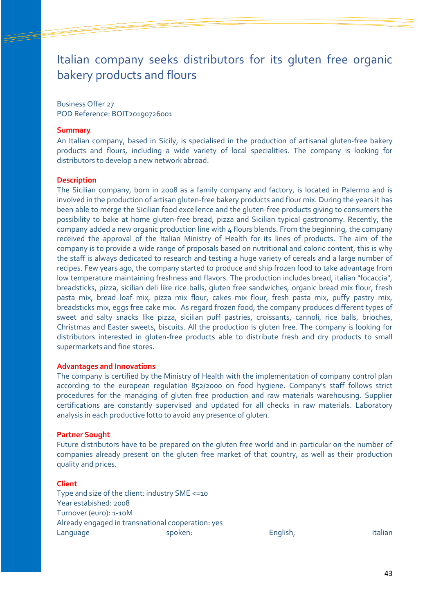## Italian company seeks distributors for its gluten free organic bakery products and flours

Business Offer 27 POD Reference: BOIT20190726001

#### **Summary**

An Italian company, based in Sicily, is specialised in the production of artisanal gluten-free bakery products and flours, including a wide variety of local specialities. The company is looking for distributors to develop a new network abroad.

#### **Description**

The Sicilian company, born in 2008 as a family company and factory, is located in Palermo and is involved in the production of artisan gluten-free bakery products and flour mix. During the years it has been able to merge the Sicilian food excellence and the gluten-free products giving to consumers the possibility to bake at home gluten-free bread, pizza and Sicilian typical gastronomy. Recently, the company added a new organic production line with  $\mu$  flours blends. From the beginning, the company received the approval of the Italian Ministry of Health for its lines of products. The aim of the company is to provide a wide range of proposals based on nutritional and caloric content, this is why the staff is always dedicated to research and testing a huge variety of cereals and a large number of recipes. Few years ago, the company started to produce and ship frozen food to take advantage from low temperature maintaining freshness and flavors. The production includes bread, italian "focaccia", breadsticks, pizza, sicilian deli like rice balls, gluten free sandwiches, organic bread mix flour, fresh pasta mix, bread loaf mix, pizza mix flour, cakes mix flour, fresh pasta mix, puffy pastry mix, breadsticks mix, eggs free cake mix. As regard frozen food, the company produces different types of sweet and salty snacks like pizza, sicilian puff pastries, croissants, cannoli, rice balls, brioches, Christmas and Easter sweets, biscuits. All the production is gluten free. The company is looking for distributors interested in gluten-free products able to distribute fresh and dry products to small supermarkets and fine stores.

#### **Advantages and Innovations**

The company is certified by the Ministry of Health with the implementation of company control plan according to the european regulation 852/2000 on food hygiene. Company's staff follows strict procedures for the managing of gluten free production and raw materials warehousing. Supplier certifications are constantly supervised and updated for all checks in raw materials. Laboratory analysis in each productive lotto to avoid any presence of gluten.

#### **Partner Sought**

Future distributors have to be prepared on the gluten free world and in particular on the number of companies already present on the gluten free market of that country, as well as their production quality and prices.

#### **Client**

Type and size of the client: industry SME <=10 Year estabished: 2008 Turnover (euro): 1-10M Already engaged in transnational cooperation: yes Language spoken: English, Italian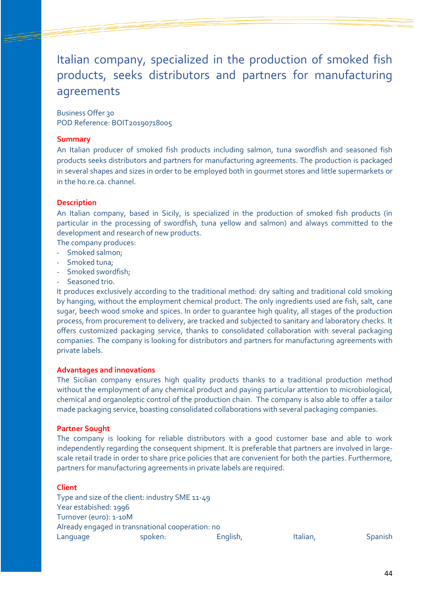## Italian company, specialized in the production of smoked fish products, seeks distributors and partners for manufacturing agreements

Business Offer 30 POD Reference: BOIT20190718005

#### **Summary**

An Italian producer of smoked fish products including salmon, tuna swordfish and seasoned fish products seeks distributors and partners for manufacturing agreements. The production is packaged in several shapes and sizes in order to be employed both in gourmet stores and little supermarkets or in the ho.re.ca. channel.

#### **Description**

An Italian company, based in Sicily, is specialized in the production of smoked fish products (in particular in the processing of swordfish, tuna yellow and salmon) and always committed to the development and research of new products.

The company produces:

- Smoked salmon;
- Smoked tuna;
- Smoked swordfish;
- Seasoned trio.

It produces exclusively according to the traditional method: dry salting and traditional cold smoking by hanging, without the employment chemical product. The only ingredients used are fish, salt, cane sugar, beech wood smoke and spices. In order to guarantee high quality, all stages of the production process, from procurement to delivery, are tracked and subjected to sanitary and laboratory checks. It offers customized packaging service, thanks to consolidated collaboration with several packaging companies. The company is looking for distributors and partners for manufacturing agreements with private labels.

#### **Advantages and innovations**

The Sicilian company ensures high quality products thanks to a traditional production method without the employment of any chemical product and paying particular attention to microbiological, chemical and organoleptic control of the production chain. The company is also able to offer a tailor made packaging service, boasting consolidated collaborations with several packaging companies.

#### **Partner Sought**

The company is looking for reliable distributors with a good customer base and able to work independently regarding the consequent shipment. It is preferable that partners are involved in largescale retail trade in order to share price policies that are convenient for both the parties. Furthermore, partners for manufacturing agreements in private labels are required.

#### **Client**

Type and size of the client: industry SME 11-49 Year estabished: 1996 Turnover (euro): 1-10M Already engaged in transnational cooperation: no Language spoken: English, Italian, Spanish